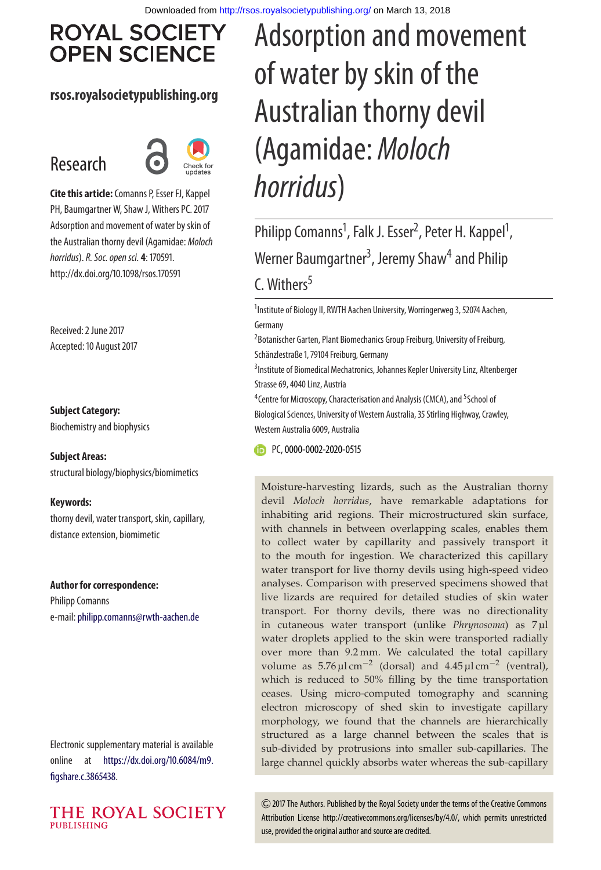# **ROYAL SOCIETY OPEN SCIENCE**

## **rsos.royalsocietypublishing.org**

# Research



**Cite this article:**Comanns P, Esser FJ, Kappel PH, Baumgartner W, Shaw J, Withers PC. 2017 Adsorption and movement of water by skin of the Australian thorny devil (Agamidae: *Moloch horridus*).*R. Soc. open sci.* **4**: 170591. http://dx.doi.org/10.1098/rsos.170591

Received: 2 June 2017 Accepted: 10 August 2017

#### **Subject Category:**

Biochemistry and biophysics

#### **Subject Areas:**

structural biology/biophysics/biomimetics

#### **Keywords:**

thorny devil, water transport, skin, capillary, distance extension, biomimetic

#### **Author for correspondence:**

Philipp Comanns e-mail: [philipp.comanns@rwth-aachen.de](mailto:philipp.comanns@rwth-aachen.de)

Electronic supplementary material is available online at [https://dx.doi.org/10.6084/m9.](https://dx.doi.org/10.6084/m9.figshare.c.3865438) [figshare.c.3865438.](https://dx.doi.org/10.6084/m9.figshare.c.3865438)



# Adsorption and movement of water by skin of the Australian thorny devil (Agamidae: *Moloch horridus*)

Philipp Comanns<sup>1</sup>, Falk J. Esser<sup>2</sup>, Peter H. Kappel<sup>1</sup> , Werner Baumgartner<sup>3</sup>, Jeremy Shaw<sup>4</sup> and Philip C. Withers $5$ 

<sup>1</sup>Institute of Biology II, RWTH Aachen University, Worringerweg 3, 52074 Aachen, Germany

<sup>2</sup> Botanischer Garten, Plant Biomechanics Group Freiburg, University of Freiburg, Schänzlestraße 1, 79104 Freiburg, Germany

<sup>3</sup> Institute of Biomedical Mechatronics, Johannes Kepler University Linz, Altenberger Strasse 69, 4040 Linz, Austria

<sup>4</sup> Centre for Microscopy, Characterisation and Analysis (CMCA), and <sup>5</sup> School of Biological Sciences, University of Western Australia, 35 Stirling Highway, Crawley, Western Australia 6009, Australia

**FD** PC, [0000-0002-2020-0515](http://orcid.org/0000-0002-2020-0515)

Moisture-harvesting lizards, such as the Australian thorny devil *Moloch horridus*, have remarkable adaptations for inhabiting arid regions. Their microstructured skin surface, with channels in between overlapping scales, enables them to collect water by capillarity and passively transport it to the mouth for ingestion. We characterized this capillary water transport for live thorny devils using high-speed video analyses. Comparison with preserved specimens showed that live lizards are required for detailed studies of skin water transport. For thorny devils, there was no directionality in cutaneous water transport (unlike *Phrynosoma*) as 7 µl water droplets applied to the skin were transported radially over more than 9.2 mm. We calculated the total capillary volume as  $5.76 \,\text{µl cm}^{-2}$  (dorsal) and  $4.45 \,\text{µl cm}^{-2}$  (ventral), which is reduced to 50% filling by the time transportation ceases. Using micro-computed tomography and scanning electron microscopy of shed skin to investigate capillary morphology, we found that the channels are hierarchically structured as a large channel between the scales that is sub-divided by protrusions into smaller sub-capillaries. The large channel quickly absorbs water whereas the sub-capillary

2017 The Authors. Published by the Royal Society under the terms of the Creative Commons Attribution License http://creativecommons.org/licenses/by/4.0/, which permits unrestricted use, provided the original author and source are credited.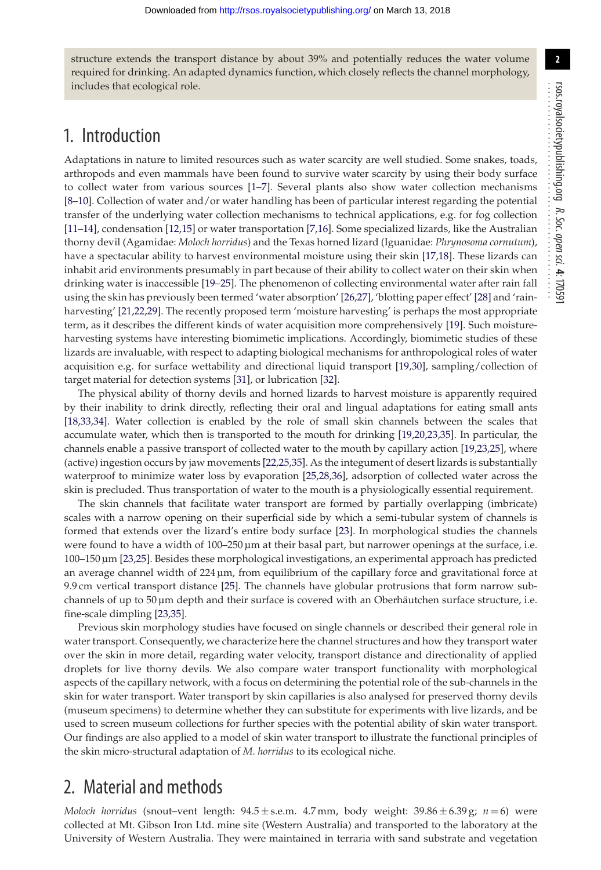structure extends the transport distance by about 39% and potentially reduces the water volume required for drinking. An adapted dynamics function, which closely reflects the channel morphology, includes that ecological role.

# 1. Introduction

Adaptations in nature to limited resources such as water scarcity are well studied. Some snakes, toads, arthropods and even mammals have been found to survive water scarcity by using their body surface to collect water from various sources [\[1](#page-10-0)[–7\]](#page-10-1). Several plants also show water collection mechanisms [\[8](#page-10-2)[–10\]](#page-10-3). Collection of water and/or water handling has been of particular interest regarding the potential transfer of the underlying water collection mechanisms to technical applications, e.g. for fog collection [\[11](#page-10-4)[–14\]](#page-10-5), condensation [\[12,](#page-10-6)[15\]](#page-10-7) or water transportation [\[7,](#page-10-1)[16\]](#page-11-0). Some specialized lizards, like the Australian thorny devil (Agamidae: *Moloch horridus*) and the Texas horned lizard (Iguanidae: *Phrynosoma cornutum*), have a spectacular ability to harvest environmental moisture using their skin [\[17,](#page-11-1)[18\]](#page-11-2). These lizards can inhabit arid environments presumably in part because of their ability to collect water on their skin when drinking water is inaccessible [\[19–](#page-11-3)[25\]](#page-11-4). The phenomenon of collecting environmental water after rain fall using the skin has previously been termed 'water absorption' [\[26](#page-11-5)[,27\]](#page-11-6), 'blotting paper effect' [\[28\]](#page-11-7) and 'rainharvesting' [\[21](#page-11-8)[,22,](#page-11-9)[29\]](#page-11-10). The recently proposed term 'moisture harvesting' is perhaps the most appropriate term, as it describes the different kinds of water acquisition more comprehensively [\[19\]](#page-11-3). Such moistureharvesting systems have interesting biomimetic implications. Accordingly, biomimetic studies of these lizards are invaluable, with respect to adapting biological mechanisms for anthropological roles of water acquisition e.g. for surface wettability and directional liquid transport [\[19](#page-11-3)[,30\]](#page-11-11), sampling/collection of target material for detection systems [\[31\]](#page-11-12), or lubrication [\[32\]](#page-11-13).

The physical ability of thorny devils and horned lizards to harvest moisture is apparently required by their inability to drink directly, reflecting their oral and lingual adaptations for eating small ants [\[18,](#page-11-2)[33](#page-11-14)[,34\]](#page-11-15). Water collection is enabled by the role of small skin channels between the scales that accumulate water, which then is transported to the mouth for drinking [\[19,](#page-11-3)[20](#page-11-16)[,23,](#page-11-17)[35\]](#page-11-18). In particular, the channels enable a passive transport of collected water to the mouth by capillary action [\[19](#page-11-3)[,23](#page-11-17)[,25\]](#page-11-4), where (active) ingestion occurs by jaw movements [\[22](#page-11-9)[,25](#page-11-4)[,35\]](#page-11-18). As the integument of desert lizards is substantially waterproof to minimize water loss by evaporation [\[25,](#page-11-4)[28](#page-11-7)[,36\]](#page-11-19), adsorption of collected water across the skin is precluded. Thus transportation of water to the mouth is a physiologically essential requirement.

The skin channels that facilitate water transport are formed by partially overlapping (imbricate) scales with a narrow opening on their superficial side by which a semi-tubular system of channels is formed that extends over the lizard's entire body surface [\[23\]](#page-11-17). In morphological studies the channels were found to have a width of 100–250 µm at their basal part, but narrower openings at the surface, i.e. 100–150 µm [\[23](#page-11-17)[,25\]](#page-11-4). Besides these morphological investigations, an experimental approach has predicted an average channel width of  $224 \mu m$ , from equilibrium of the capillary force and gravitational force at 9.9 cm vertical transport distance [\[25\]](#page-11-4). The channels have globular protrusions that form narrow subchannels of up to  $50 \mu m$  depth and their surface is covered with an Oberhäutchen surface structure, i.e. fine-scale dimpling [\[23](#page-11-17)[,35\]](#page-11-18).

Previous skin morphology studies have focused on single channels or described their general role in water transport. Consequently, we characterize here the channel structures and how they transport water over the skin in more detail, regarding water velocity, transport distance and directionality of applied droplets for live thorny devils. We also compare water transport functionality with morphological aspects of the capillary network, with a focus on determining the potential role of the sub-channels in the skin for water transport. Water transport by skin capillaries is also analysed for preserved thorny devils (museum specimens) to determine whether they can substitute for experiments with live lizards, and be used to screen museum collections for further species with the potential ability of skin water transport. Our findings are also applied to a model of skin water transport to illustrate the functional principles of the skin micro-structural adaptation of *M. horridus* to its ecological niche.

## 2. Material and methods

*Moloch horridus* (snout–vent length: 94.5 ± s.e.m. 4.7 mm, body weight: 39.86 ± 6.39 g; *n* = 6) were collected at Mt. Gibson Iron Ltd. mine site (Western Australia) and transported to the laboratory at the University of Western Australia. They were maintained in terraria with sand substrate and vegetation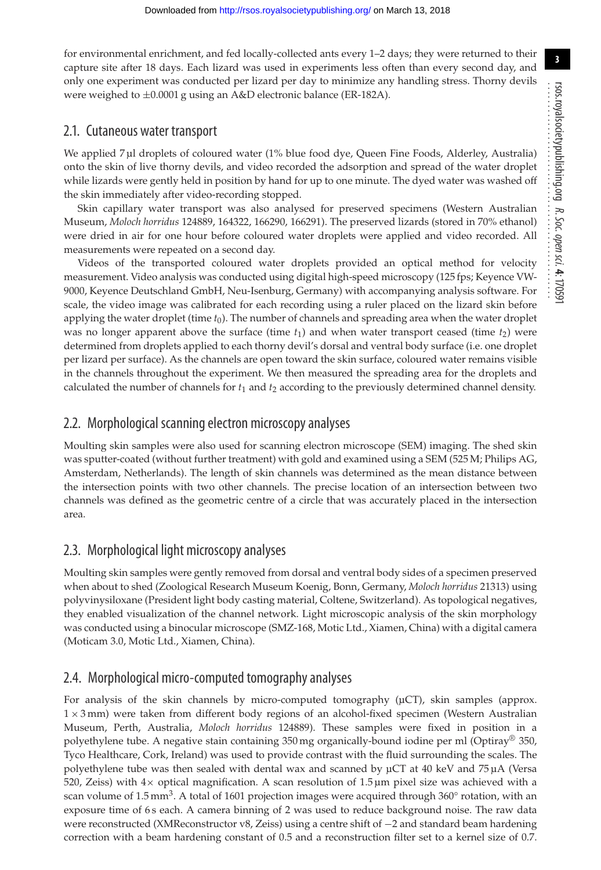for environmental enrichment, and fed locally-collected ants every 1–2 days; they were returned to their capture site after 18 days. Each lizard was used in experiments less often than every second day, and only one experiment was conducted per lizard per day to minimize any handling stress. Thorny devils were weighed to ±0.0001 g using an A&D electronic balance (ER-182A).

#### 2.1. Cutaneous water transport

We applied 7 µl droplets of coloured water (1% blue food dye, Queen Fine Foods, Alderley, Australia) onto the skin of live thorny devils, and video recorded the adsorption and spread of the water droplet while lizards were gently held in position by hand for up to one minute. The dyed water was washed off the skin immediately after video-recording stopped.

Skin capillary water transport was also analysed for preserved specimens (Western Australian Museum, *Moloch horridus* 124889, 164322, 166290, 166291). The preserved lizards (stored in 70% ethanol) were dried in air for one hour before coloured water droplets were applied and video recorded. All measurements were repeated on a second day.

Videos of the transported coloured water droplets provided an optical method for velocity measurement. Video analysis was conducted using digital high-speed microscopy (125 fps; Keyence VW-9000, Keyence Deutschland GmbH, Neu-Isenburg, Germany) with accompanying analysis software. For scale, the video image was calibrated for each recording using a ruler placed on the lizard skin before applying the water droplet (time *t*0). The number of channels and spreading area when the water droplet was no longer apparent above the surface (time  $t_1$ ) and when water transport ceased (time  $t_2$ ) were determined from droplets applied to each thorny devil's dorsal and ventral body surface (i.e. one droplet per lizard per surface). As the channels are open toward the skin surface, coloured water remains visible in the channels throughout the experiment. We then measured the spreading area for the droplets and calculated the number of channels for *t*<sup>1</sup> and *t*<sup>2</sup> according to the previously determined channel density.

## 2.2. Morphological scanning electron microscopy analyses

Moulting skin samples were also used for scanning electron microscope (SEM) imaging. The shed skin was sputter-coated (without further treatment) with gold and examined using a SEM (525 M; Philips AG, Amsterdam, Netherlands). The length of skin channels was determined as the mean distance between the intersection points with two other channels. The precise location of an intersection between two channels was defined as the geometric centre of a circle that was accurately placed in the intersection area.

## 2.3. Morphological light microscopy analyses

Moulting skin samples were gently removed from dorsal and ventral body sides of a specimen preserved when about to shed (Zoological Research Museum Koenig, Bonn, Germany, *Moloch horridus* 21313) using polyvinysiloxane (President light body casting material, Coltene, Switzerland). As topological negatives, they enabled visualization of the channel network. Light microscopic analysis of the skin morphology was conducted using a binocular microscope (SMZ-168, Motic Ltd., Xiamen, China) with a digital camera (Moticam 3.0, Motic Ltd., Xiamen, China).

## 2.4. Morphological micro-computed tomography analyses

For analysis of the skin channels by micro-computed tomography  $(\mu$ CT), skin samples (approx. 1 × 3 mm) were taken from different body regions of an alcohol-fixed specimen (Western Australian Museum, Perth, Australia, *Moloch horridus* 124889). These samples were fixed in position in a polyethylene tube. A negative stain containing 350 mg organically-bound iodine per ml (Optiray® 350, Tyco Healthcare, Cork, Ireland) was used to provide contrast with the fluid surrounding the scales. The polyethylene tube was then sealed with dental wax and scanned by µCT at 40 keV and 75 µA (Versa 520, Zeiss) with  $4\times$  optical magnification. A scan resolution of 1.5 µm pixel size was achieved with a scan volume of  $1.5$  mm<sup>3</sup>. A total of 1601 projection images were acquired through  $360^{\circ}$  rotation, with an exposure time of 6s each. A camera binning of 2 was used to reduce background noise. The raw data were reconstructed (XMReconstructor v8, Zeiss) using a centre shift of −2 and standard beam hardening correction with a beam hardening constant of 0.5 and a reconstruction filter set to a kernel size of 0.7.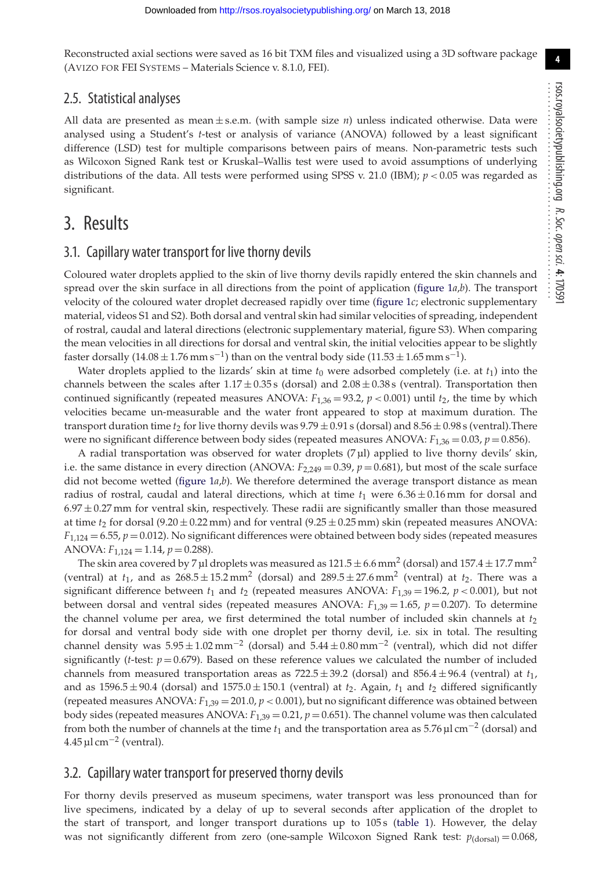**4**

Reconstructed axial sections were saved as 16 bit TXM files and visualized using a 3D software package (AVIZO FOR FEI SYSTEMS – Materials Science v. 8.1.0, FEI).

#### 2.5. Statistical analyses

All data are presented as mean ± s.e.m. (with sample size *n*) unless indicated otherwise. Data were analysed using a Student's *t*-test or analysis of variance (ANOVA) followed by a least significant difference (LSD) test for multiple comparisons between pairs of means. Non-parametric tests such as Wilcoxon Signed Rank test or Kruskal–Wallis test were used to avoid assumptions of underlying distributions of the data. All tests were performed using SPSS v. 21.0 (IBM); *p* < 0.05 was regarded as significant.

# 3. Results

#### 3.1. Capillary water transport for live thorny devils

Coloured water droplets applied to the skin of live thorny devils rapidly entered the skin channels and spread over the skin surface in all directions from the point of application [\(figure 1](#page-4-0)*a*,*b*). The transport velocity of the coloured water droplet decreased rapidly over time [\(figure 1](#page-4-0)*c*; electronic supplementary material, videos S1 and S2). Both dorsal and ventral skin had similar velocities of spreading, independent of rostral, caudal and lateral directions (electronic supplementary material, figure S3). When comparing the mean velocities in all directions for dorsal and ventral skin, the initial velocities appear to be slightly faster dorsally  $(14.08 \pm 1.76 \text{ mm s}^{-1})$  than on the ventral body side  $(11.53 \pm 1.65 \text{ mm s}^{-1})$ .

Water droplets applied to the lizards' skin at time  $t_0$  were adsorbed completely (i.e. at  $t_1$ ) into the channels between the scales after  $1.17 \pm 0.35$  s (dorsal) and  $2.08 \pm 0.38$  s (ventral). Transportation then continued significantly (repeated measures ANOVA:  $F_{1,36} = 93.2$ ,  $p < 0.001$ ) until  $t_2$ , the time by which velocities became un-measurable and the water front appeared to stop at maximum duration. The transport duration time  $t_2$  for live thorny devils was  $9.79 \pm 0.91$  s (dorsal) and  $8.56 \pm 0.98$  s (ventral). There were no significant difference between body sides (repeated measures ANOVA:  $F_{1,36} = 0.03$ ,  $p = 0.856$ ).

A radial transportation was observed for water droplets (7 µl) applied to live thorny devils' skin, i.e. the same distance in every direction (ANOVA:  $F_{2,249} = 0.39$ ,  $p = 0.681$ ), but most of the scale surface did not become wetted [\(figure 1](#page-4-0)*a*,*b*). We therefore determined the average transport distance as mean radius of rostral, caudal and lateral directions, which at time  $t_1$  were  $6.36 \pm 0.16$  mm for dorsal and  $6.97 \pm 0.27$  mm for ventral skin, respectively. These radii are significantly smaller than those measured at time  $t_2$  for dorsal (9.20  $\pm$  0.22 mm) and for ventral (9.25  $\pm$  0.25 mm) skin (repeated measures ANOVA:  $F_{1,124} = 6.55$ ,  $p = 0.012$ ). No significant differences were obtained between body sides (repeated measures ANOVA: *F*1,124 = 1.14, *p* = 0.288).

The skin area covered by 7 µl droplets was measured as  $121.5 \pm 6.6$  mm<sup>2</sup> (dorsal) and  $157.4 \pm 17.7$  mm<sup>2</sup> (ventral) at  $t_1$ , and as  $268.5 \pm 15.2$  mm<sup>2</sup> (dorsal) and  $289.5 \pm 27.6$  mm<sup>2</sup> (ventral) at  $t_2$ . There was a significant difference between  $t_1$  and  $t_2$  (repeated measures ANOVA:  $F_{1,39} = 196.2$ ,  $p < 0.001$ ), but not between dorsal and ventral sides (repeated measures ANOVA:  $F_{1,39} = 1.65$ ,  $p = 0.207$ ). To determine the channel volume per area, we first determined the total number of included skin channels at *t*<sup>2</sup> for dorsal and ventral body side with one droplet per thorny devil, i.e. six in total. The resulting channel density was  $5.95 \pm 1.02 \text{ mm}^{-2}$  (dorsal) and  $5.44 \pm 0.80 \text{ mm}^{-2}$  (ventral), which did not differ significantly (*t*-test:  $p = 0.679$ ). Based on these reference values we calculated the number of included channels from measured transportation areas as  $722.5 \pm 39.2$  (dorsal) and  $856.4 \pm 96.4$  (ventral) at  $t_1$ , and as  $1596.5 \pm 90.4$  (dorsal) and  $1575.0 \pm 150.1$  (ventral) at  $t_2$ . Again,  $t_1$  and  $t_2$  differed significantly (repeated measures ANOVA: *F*1,39 = 201.0, *p* < 0.001), but no significant difference was obtained between body sides (repeated measures ANOVA:  $F_{1,39} = 0.21$ ,  $p = 0.651$ ). The channel volume was then calculated from both the number of channels at the time *t*<sup>1</sup> and the transportation area as 5.76 µl cm−<sup>2</sup> (dorsal) and  $4.45 \,\mathrm{\upmu \, cm^{-2}}$  (ventral).

## 3.2. Capillary water transport for preserved thorny devils

For thorny devils preserved as museum specimens, water transport was less pronounced than for live specimens, indicated by a delay of up to several seconds after application of the droplet to the start of transport, and longer transport durations up to 105s [\(table 1\)](#page-4-1). However, the delay was not significantly different from zero (one-sample Wilcoxon Signed Rank test:  $p_{\text{(dorsal)}} = 0.068$ ,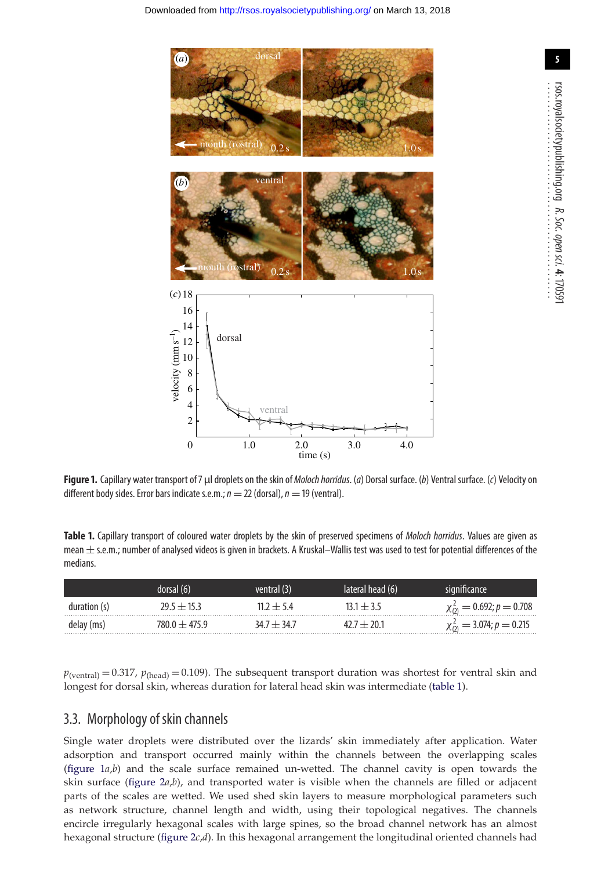<span id="page-4-0"></span>

**Figure 1.** Capillary water transport of 7 µl droplets on the skin of *Moloch horridus*. (*a*) Dorsal surface. (*b*) Ventral surface. (*c*) Velocity on different body sides. Error bars indicate s.e.m.;  $n = 22$  (dorsal),  $n = 19$  (ventral).

<span id="page-4-1"></span>**Table 1.** Capillary transport of coloured water droplets by the skin of preserved specimens of *Moloch horridus*. Values are given as mean  $\pm$  s.e.m.; number of analysed videos is given in brackets. A Kruskal–Wallis test was used to test for potential differences of the medians.

|              | dorsal (6)              | ventral (3) | lateral head (6) |                                   |
|--------------|-------------------------|-------------|------------------|-----------------------------------|
| duration (s) | 29 5 <del>1 1</del> 5 3 | $117 + 54$  |                  | $\chi_{(2)}^2 = 0.692; p = 0.708$ |
| delay (ms)   | $1800 + 4759$           | $347 + 347$ | <b>ጋበ</b> ነ      | $\chi_{(2)}^2 = 3.074; p = 0.215$ |

 $p_{(ventral)} = 0.317$ ,  $p_{(head)} = 0.109$ ). The subsequent transport duration was shortest for ventral skin and longest for dorsal skin, whereas duration for lateral head skin was intermediate [\(table 1\)](#page-4-1).

#### 3.3. Morphology of skin channels

Single water droplets were distributed over the lizards' skin immediately after application. Water adsorption and transport occurred mainly within the channels between the overlapping scales [\(figure 1](#page-4-0)*a*,*b*) and the scale surface remained un-wetted. The channel cavity is open towards the skin surface [\(figure 2](#page-5-0)*a*,*b*), and transported water is visible when the channels are filled or adjacent parts of the scales are wetted. We used shed skin layers to measure morphological parameters such as network structure, channel length and width, using their topological negatives. The channels encircle irregularly hexagonal scales with large spines, so the broad channel network has an almost hexagonal structure [\(figure 2](#page-5-0)*c*,*d*). In this hexagonal arrangement the longitudinal oriented channels had

rsos.royalsocietypublishing.org

*R. Soc.*

 *open*

 *sci.* **4**: 170591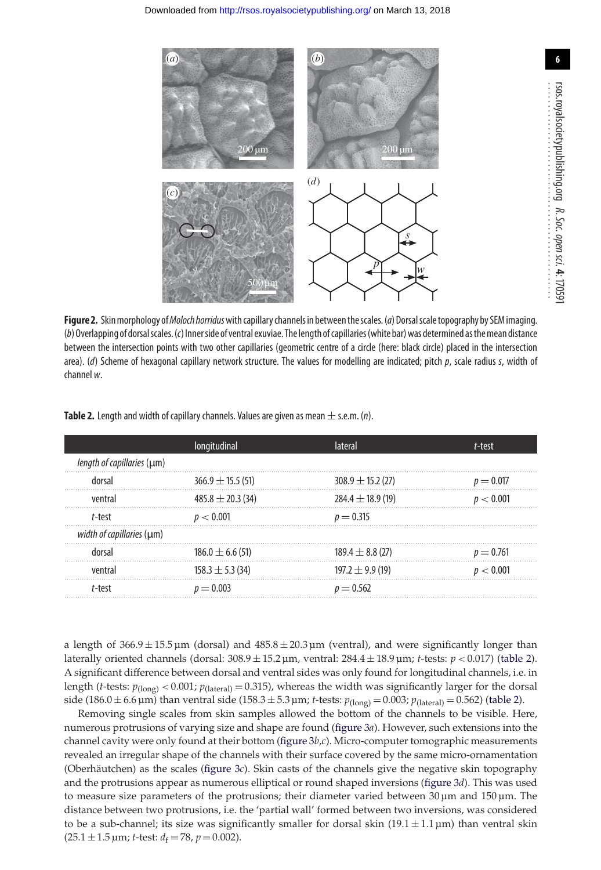<span id="page-5-0"></span>

**Figure 2.** Skinmorphology of*Moloch horridus*with capillary channels in betweenthescales.(*a*) Dorsalscaletopography by SEM imaging. (*b*)Overlapping of dorsalscales.(*c*) Innerside of ventral exuviae. The length of capillaries(white bar)was determined asthemean distance between the intersection points with two other capillaries (geometric centre of a circle (here: black circle) placed in the intersection area). (*d*) Scheme of hexagonal capillary network structure. The values for modelling are indicated; pitch *p*, scale radius *s*, width of channel *w*.

|                            | longitudinal          | lateral               | t-test      |
|----------------------------|-----------------------|-----------------------|-------------|
| length of capillaries (µm) |                       |                       |             |
| dorsal                     | $366.9 \pm 15.5(51)$  | $308.9 \pm 15.2(27)$  | $p = 0.017$ |
| ventral                    | $485.8 \pm 20.3$ (34) | $284.4 \pm 18.9$ (19) | p < 0.001   |
| t-test                     | p < 0.001             | $p = 0.315$           |             |
| width of capillaries (µm)  |                       |                       |             |
| dorsal                     | $186.0 \pm 6.6(51)$   | $189.4 \pm 8.8$ (27)  | $p = 0.761$ |
| ventral                    | $158.3 \pm 5.3(34)$   | $197.2 \pm 9.9(19)$   | p < 0.001   |
| t-test                     | $p = 0.003$           | $p = 0.562$           |             |

<span id="page-5-1"></span>**Table 2.** Length and width of capillary channels. Values are given as mean  $\pm$  s.e.m. (*n*).

a length of  $366.9 \pm 15.5 \,\text{\upmu m}$  (dorsal) and  $485.8 \pm 20.3 \,\text{\upmu m}$  (ventral), and were significantly longer than laterally oriented channels (dorsal: 308.9 ± 15.2 µm, ventral: 284.4 ± 18.9 µm; *t*-tests: *p* < 0.017) [\(table 2\)](#page-5-1). A significant difference between dorsal and ventral sides was only found for longitudinal channels, i.e. in length (*t*-tests:  $p_{(long)} < 0.001$ ;  $p_{(latent)} = 0.315$ ), whereas the width was significantly larger for the dorsal side (186.0 ± 6.6 µm) than ventral side (158.3 ± 5.3 µm; *t*-tests:  $p_{\text{(long)}} = 0.003$ ;  $p_{\text{(lateral)}} = 0.562$ ) [\(table 2\)](#page-5-1).

Removing single scales from skin samples allowed the bottom of the channels to be visible. Here, numerous protrusions of varying size and shape are found [\(figure 3](#page-6-0)*a*). However, such extensions into the channel cavity were only found at their bottom [\(figure 3](#page-6-0)*b*,*c*). Micro-computer tomographic measurements revealed an irregular shape of the channels with their surface covered by the same micro-ornamentation (Oberhäutchen) as the scales [\(figure 3](#page-6-0)*c*). Skin casts of the channels give the negative skin topography and the protrusions appear as numerous elliptical or round shaped inversions [\(figure 3](#page-6-0)*d*). This was used to measure size parameters of the protrusions; their diameter varied between  $30 \,\mu m$  and  $150 \,\mu m$ . The distance between two protrusions, i.e. the 'partial wall' formed between two inversions, was considered to be a sub-channel; its size was significantly smaller for dorsal skin  $(19.1 \pm 1.1 \,\text{\mu m})$  than ventral skin  $(25.1 \pm 1.5 \,\text{\mu m})$ ; *t*-test:  $d_f = 78$ ,  $p = 0.002$ ).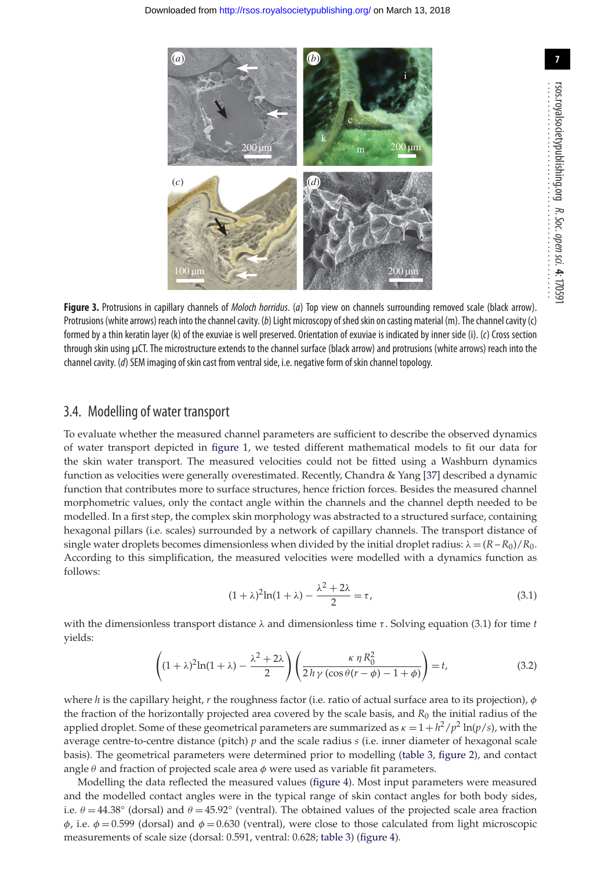<span id="page-6-0"></span>

**Figure 3.** Protrusions in capillary channels of *Moloch horridus*. (*a*) Top view on channels surrounding removed scale (black arrow). Protrusions (white arrows) reach into the channel cavity. (*b*) Light microscopy ofshedskin on casting material (m). The channel cavity (c) formed by a thin keratin layer (k) of the exuviae is well preserved. Orientation of exuviae is indicated by inner side (i). (*c*) Cross section through skin using µCT. The microstructure extends to the channel surface (black arrow) and protrusions (white arrows) reach into the channel cavity. (*d*) SEM imaging of skin cast from ventral side, i.e. negative form of skin channel topology.

#### 3.4. Modelling of water transport

To evaluate whether the measured channel parameters are sufficient to describe the observed dynamics of water transport depicted in [figure 1,](#page-4-0) we tested different mathematical models to fit our data for the skin water transport. The measured velocities could not be fitted using a Washburn dynamics function as velocities were generally overestimated. Recently, Chandra & Yang [\[37\]](#page-11-20) described a dynamic function that contributes more to surface structures, hence friction forces. Besides the measured channel morphometric values, only the contact angle within the channels and the channel depth needed to be modelled. In a first step, the complex skin morphology was abstracted to a structured surface, containing hexagonal pillars (i.e. scales) surrounded by a network of capillary channels. The transport distance of single water droplets becomes dimensionless when divided by the initial droplet radius:  $\lambda = (R - R_0)/R_0$ . According to this simplification, the measured velocities were modelled with a dynamics function as follows:

$$
(1+\lambda)^2 \ln(1+\lambda) - \frac{\lambda^2 + 2\lambda}{2} = \tau,\tag{3.1}
$$

with the dimensionless transport distance  $\lambda$  and dimensionless time  $\tau$ . Solving equation (3.1) for time *t* yields:

$$
\left( (1+\lambda)^2 \ln(1+\lambda) - \frac{\lambda^2 + 2\lambda}{2} \right) \left( \frac{\kappa \eta R_0^2}{2h\gamma \left(\cos\theta (r-\phi) - 1 + \phi\right)} \right) = t,\tag{3.2}
$$

where *h* is the capillary height, *r* the roughness factor (i.e. ratio of actual surface area to its projection), φ the fraction of the horizontally projected area covered by the scale basis, and *R*<sup>0</sup> the initial radius of the applied droplet. Some of these geometrical parameters are summarized as  $\kappa = 1 + h^2/p^2 \ln(p/s)$ , with the average centre-to-centre distance (pitch) *p* and the scale radius *s* (i.e. inner diameter of hexagonal scale basis). The geometrical parameters were determined prior to modelling [\(table 3,](#page-7-0) [figure 2\)](#page-5-0), and contact angle  $\theta$  and fraction of projected scale area  $\phi$  were used as variable fit parameters.

Modelling the data reflected the measured values [\(figure 4\)](#page-7-1). Most input parameters were measured and the modelled contact angles were in the typical range of skin contact angles for both body sides, i.e.  $\theta = 44.38^{\circ}$  (dorsal) and  $\theta = 45.92^{\circ}$  (ventral). The obtained values of the projected scale area fraction  $\phi$ , i.e.  $\phi = 0.599$  (dorsal) and  $\phi = 0.630$  (ventral), were close to those calculated from light microscopic measurements of scale size (dorsal: 0.591, ventral: 0.628; [table 3\)](#page-7-0) [\(figure 4\)](#page-7-1).

**7**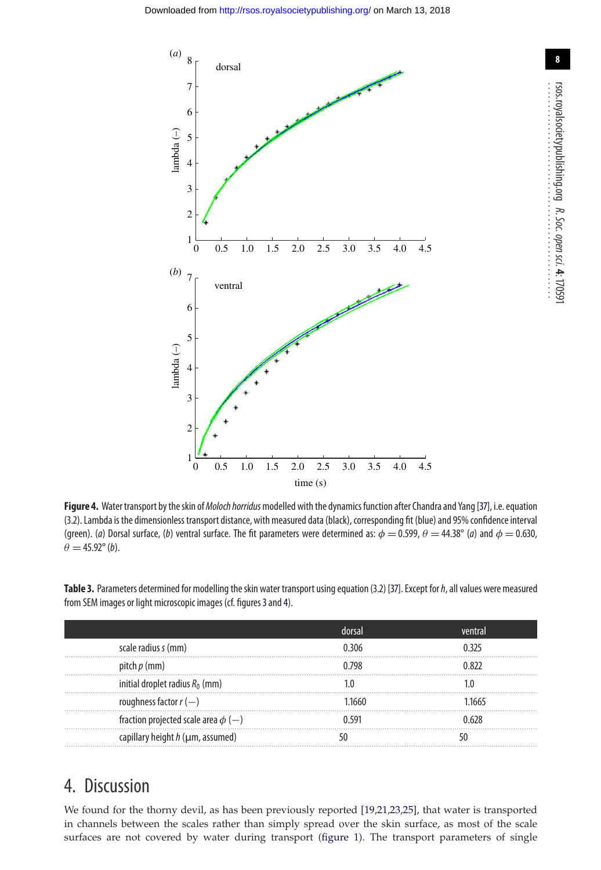<span id="page-7-1"></span>

Figure 4. Water transport by the skin of *Moloch horridus* modelled with the dynamics function after Chandra and Yang [\[37\]](#page-11-20), i.e. equation (3.2). Lambda is the dimensionless transport distance, with measured data (black), corresponding fit (blue) and 95% confidence interval (green). (*a*) Dorsal surface, (*b*) ventral surface. The fit parameters were determined as:  $\phi = 0.599$ ,  $\theta = 44.38^{\circ}$  (*a*) and  $\phi = 0.630$ ,  $\theta = 45.92^{\circ}$  (*b*).

<span id="page-7-0"></span>**Table 3.** Parameters determined for modelling the skin water transport using equation (3.2) [\[37\]](#page-11-20). Except for*h*, all values were measured from SEM images or light microscopic images (cf. figures [3](#page-6-0) and [4\)](#page-7-1).

| scale radius s (mm)                      | በ 306 | 0 325 |
|------------------------------------------|-------|-------|
| pitch $p \, (mm)$                        | በ 798 | በ ጸንን |
| initial droplet radius $R_0$ (mm)        |       |       |
| roughness factor $r(-)$                  | 1660  | 1665  |
| fraction projected scale area $\phi$ (-) |       | 628   |
| capillary height $h$ ( $\mu$ m, assumed) |       |       |

## 4. Discussion

We found for the thorny devil, as has been previously reported [\[19](#page-11-3)[,21,](#page-11-8)[23](#page-11-17)[,25\]](#page-11-4), that water is transported in channels between the scales rather than simply spread over the skin surface, as most of the scale surfaces are not covered by water during transport [\(figure 1\)](#page-4-0). The transport parameters of single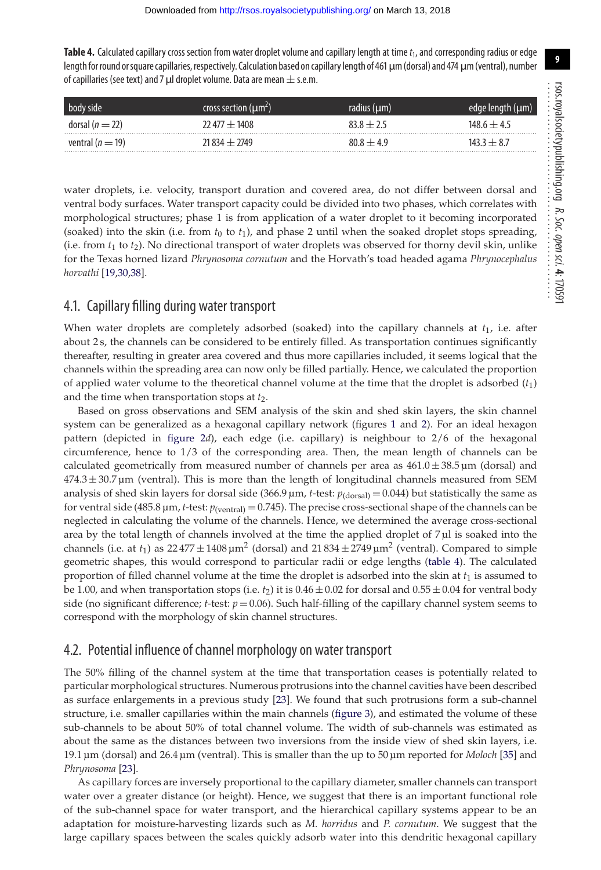<span id="page-8-0"></span>Table 4. Calculated capillary cross section from water droplet volume and capillary length at time  $t_1$ , and corresponding radius or edge length for round or square capillaries, respectively. Calculation based on capillary length of 461 μm (dorsal) and 474 μm (ventral), number of capillaries (see text) and 7  $\mu$ l droplet volume. Data are mean  $\pm$  s.e.m.

| body side           | cross section $(\mu m^2)$ | radius $(\mu m)$ | edge length   |
|---------------------|---------------------------|------------------|---------------|
| dorsal ( $n = 22$ ) | $22\,477 \pm 1408$        | $838 + 25$       | $148.6 + 4.5$ |
| ventral $(n = 19)$  | $71834 + 7749$            | $808 + 49$       | 143 3 $+$ 8 7 |

water droplets, i.e. velocity, transport duration and covered area, do not differ between dorsal and ventral body surfaces. Water transport capacity could be divided into two phases, which correlates with morphological structures; phase 1 is from application of a water droplet to it becoming incorporated (soaked) into the skin (i.e. from  $t_0$  to  $t_1$ ), and phase 2 until when the soaked droplet stops spreading, (i.e. from  $t_1$  to  $t_2$ ). No directional transport of water droplets was observed for thorny devil skin, unlike for the Texas horned lizard *Phrynosoma cornutum* and the Horvath's toad headed agama *Phrynocephalus horvathi* [\[19](#page-11-3)[,30,](#page-11-11)[38\]](#page-11-21).

#### 4.1. Capillary filling during water transport

When water droplets are completely adsorbed (soaked) into the capillary channels at *t*1, i.e. after about 2 s, the channels can be considered to be entirely filled. As transportation continues significantly thereafter, resulting in greater area covered and thus more capillaries included, it seems logical that the channels within the spreading area can now only be filled partially. Hence, we calculated the proportion of applied water volume to the theoretical channel volume at the time that the droplet is adsorbed (*t*1) and the time when transportation stops at *t*2.

Based on gross observations and SEM analysis of the skin and shed skin layers, the skin channel system can be generalized as a hexagonal capillary network (figures [1](#page-4-0) and [2\)](#page-5-0). For an ideal hexagon pattern (depicted in [figure 2](#page-5-0)*d*), each edge (i.e. capillary) is neighbour to 2/6 of the hexagonal circumference, hence to 1/3 of the corresponding area. Then, the mean length of channels can be calculated geometrically from measured number of channels per area as  $461.0 \pm 38.5 \,\mathrm{\upmu m}$  (dorsal) and  $474.3 \pm 30.7 \,\mu$ m (ventral). This is more than the length of longitudinal channels measured from SEM analysis of shed skin layers for dorsal side (366.9  $\mu$ m, *t*-test:  $p_{(dorsal)} = 0.044$ ) but statistically the same as for ventral side (485.8 µm, *t*-test: *p*(ventral) = 0.745). The precise cross-sectional shape of the channels can be neglected in calculating the volume of the channels. Hence, we determined the average cross-sectional area by the total length of channels involved at the time the applied droplet of  $7 \mu$ l is soaked into the channels (i.e. at  $t_1$ ) as  $22\frac{477 \pm 1408 \,\mu m^2}{}$  (dorsal) and  $21\frac{834 \pm 2749 \,\mu m^2}{}$  (ventral). Compared to simple geometric shapes, this would correspond to particular radii or edge lengths [\(table 4\)](#page-8-0). The calculated proportion of filled channel volume at the time the droplet is adsorbed into the skin at  $t_1$  is assumed to be 1.00, and when transportation stops (i.e.  $t_2$ ) it is  $0.46 \pm 0.02$  for dorsal and  $0.55 \pm 0.04$  for ventral body side (no significant difference;  $t$ -test:  $p = 0.06$ ). Such half-filling of the capillary channel system seems to correspond with the morphology of skin channel structures.

#### 4.2. Potential influence of channel morphology on water transport

The 50% filling of the channel system at the time that transportation ceases is potentially related to particular morphological structures. Numerous protrusions into the channel cavities have been described as surface enlargements in a previous study [\[23\]](#page-11-17). We found that such protrusions form a sub-channel structure, i.e. smaller capillaries within the main channels [\(figure 3\)](#page-6-0), and estimated the volume of these sub-channels to be about 50% of total channel volume. The width of sub-channels was estimated as about the same as the distances between two inversions from the inside view of shed skin layers, i.e. 19.1 µm (dorsal) and 26.4 µm (ventral). This is smaller than the up to 50 µm reported for *Moloch* [\[35\]](#page-11-18) and *Phrynosoma* [\[23\]](#page-11-17).

As capillary forces are inversely proportional to the capillary diameter, smaller channels can transport water over a greater distance (or height). Hence, we suggest that there is an important functional role of the sub-channel space for water transport, and the hierarchical capillary systems appear to be an adaptation for moisture-harvesting lizards such as *M. horridus* and *P. cornutum*. We suggest that the large capillary spaces between the scales quickly adsorb water into this dendritic hexagonal capillary

**9**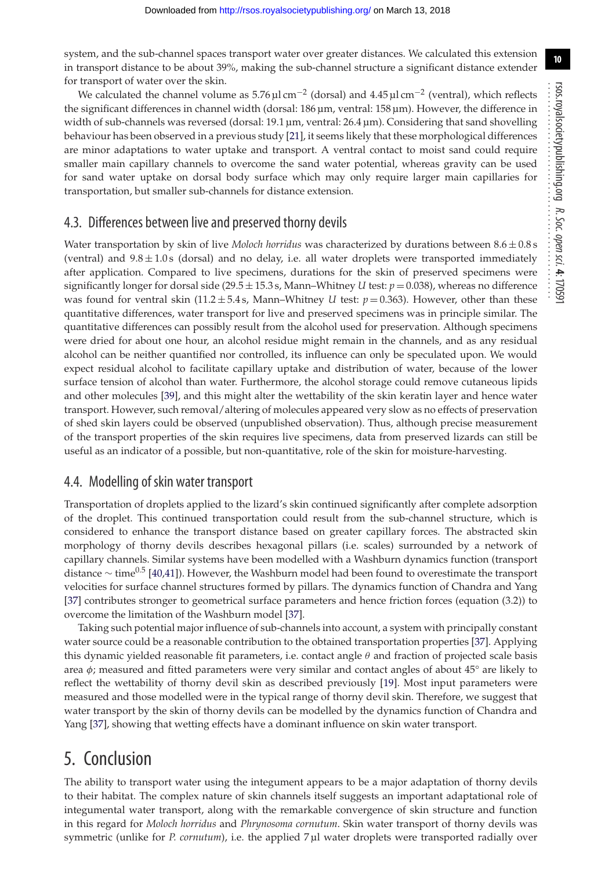system, and the sub-channel spaces transport water over greater distances. We calculated this extension in transport distance to be about 39%, making the sub-channel structure a significant distance extender for transport of water over the skin.

We calculated the channel volume as  $5.76 \mu\text{Lcm}^{-2}$  (dorsal) and  $4.45 \mu\text{Lcm}^{-2}$  (ventral), which reflects the significant differences in channel width (dorsal: 186 µm, ventral: 158 µm). However, the difference in width of sub-channels was reversed (dorsal: 19.1 µm, ventral: 26.4 µm). Considering that sand shovelling behaviour has been observed in a previous study [\[21\]](#page-11-8), it seems likely that these morphological differences are minor adaptations to water uptake and transport. A ventral contact to moist sand could require smaller main capillary channels to overcome the sand water potential, whereas gravity can be used for sand water uptake on dorsal body surface which may only require larger main capillaries for transportation, but smaller sub-channels for distance extension.

## 4.3. Differences between live and preserved thorny devils

Water transportation by skin of live *Moloch horridus* was characterized by durations between 8.6 ± 0.8 s (ventral) and  $9.8 \pm 1.0$  s (dorsal) and no delay, i.e. all water droplets were transported immediately after application. Compared to live specimens, durations for the skin of preserved specimens were significantly longer for dorsal side (29.5  $\pm$  15.3 s, Mann–Whitney *U* test:  $p = 0.038$ ), whereas no difference was found for ventral skin  $(11.2 \pm 5.4 s)$ , Mann–Whitney *U* test:  $p = 0.363$ ). However, other than these quantitative differences, water transport for live and preserved specimens was in principle similar. The quantitative differences can possibly result from the alcohol used for preservation. Although specimens were dried for about one hour, an alcohol residue might remain in the channels, and as any residual alcohol can be neither quantified nor controlled, its influence can only be speculated upon. We would expect residual alcohol to facilitate capillary uptake and distribution of water, because of the lower surface tension of alcohol than water. Furthermore, the alcohol storage could remove cutaneous lipids and other molecules [\[39\]](#page-11-22), and this might alter the wettability of the skin keratin layer and hence water transport. However, such removal/altering of molecules appeared very slow as no effects of preservation of shed skin layers could be observed (unpublished observation). Thus, although precise measurement of the transport properties of the skin requires live specimens, data from preserved lizards can still be useful as an indicator of a possible, but non-quantitative, role of the skin for moisture-harvesting.

## 4.4. Modelling of skin water transport

Transportation of droplets applied to the lizard's skin continued significantly after complete adsorption of the droplet. This continued transportation could result from the sub-channel structure, which is considered to enhance the transport distance based on greater capillary forces. The abstracted skin morphology of thorny devils describes hexagonal pillars (i.e. scales) surrounded by a network of capillary channels. Similar systems have been modelled with a Washburn dynamics function (transport distance  $\sim$  time<sup>0.5</sup> [\[40](#page-11-23)[,41\]](#page-11-24)). However, the Washburn model had been found to overestimate the transport velocities for surface channel structures formed by pillars. The dynamics function of Chandra and Yang [\[37\]](#page-11-20) contributes stronger to geometrical surface parameters and hence friction forces (equation (3.2)) to overcome the limitation of the Washburn model [\[37\]](#page-11-20).

Taking such potential major influence of sub-channels into account, a system with principally constant water source could be a reasonable contribution to the obtained transportation properties [\[37\]](#page-11-20). Applying this dynamic yielded reasonable fit parameters, i.e. contact angle  $\theta$  and fraction of projected scale basis area  $\phi$ ; measured and fitted parameters were very similar and contact angles of about 45 $\degree$  are likely to reflect the wettability of thorny devil skin as described previously [\[19\]](#page-11-3). Most input parameters were measured and those modelled were in the typical range of thorny devil skin. Therefore, we suggest that water transport by the skin of thorny devils can be modelled by the dynamics function of Chandra and Yang [\[37\]](#page-11-20), showing that wetting effects have a dominant influence on skin water transport.

# 5. Conclusion

The ability to transport water using the integument appears to be a major adaptation of thorny devils to their habitat. The complex nature of skin channels itself suggests an important adaptational role of integumental water transport, along with the remarkable convergence of skin structure and function in this regard for *Moloch horridus* and *Phrynosoma cornutum*. Skin water transport of thorny devils was symmetric (unlike for *P. cornutum*), i.e. the applied 7 µl water droplets were transported radially over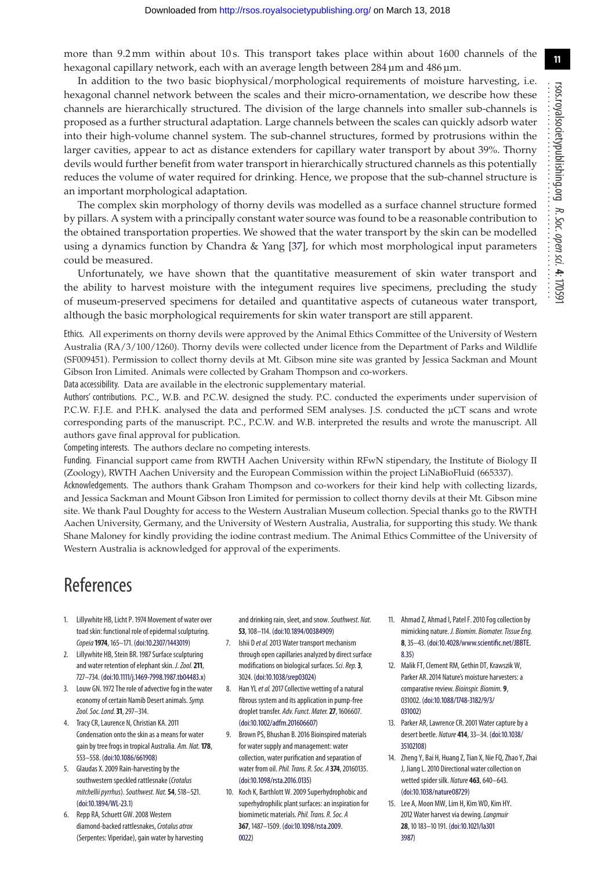**11**

more than 9.2 mm within about 10 s. This transport takes place within about 1600 channels of the hexagonal capillary network, each with an average length between 284 µm and 486 µm.

In addition to the two basic biophysical/morphological requirements of moisture harvesting, i.e. hexagonal channel network between the scales and their micro-ornamentation, we describe how these channels are hierarchically structured. The division of the large channels into smaller sub-channels is proposed as a further structural adaptation. Large channels between the scales can quickly adsorb water into their high-volume channel system. The sub-channel structures, formed by protrusions within the larger cavities, appear to act as distance extenders for capillary water transport by about 39%. Thorny devils would further benefit from water transport in hierarchically structured channels as this potentially reduces the volume of water required for drinking. Hence, we propose that the sub-channel structure is an important morphological adaptation.

The complex skin morphology of thorny devils was modelled as a surface channel structure formed by pillars. A system with a principally constant water source was found to be a reasonable contribution to the obtained transportation properties. We showed that the water transport by the skin can be modelled using a dynamics function by Chandra & Yang [\[37\]](#page-11-20), for which most morphological input parameters could be measured.

Unfortunately, we have shown that the quantitative measurement of skin water transport and the ability to harvest moisture with the integument requires live specimens, precluding the study of museum-preserved specimens for detailed and quantitative aspects of cutaneous water transport, although the basic morphological requirements for skin water transport are still apparent.

Ethics. All experiments on thorny devils were approved by the Animal Ethics Committee of the University of Western Australia (RA/3/100/1260). Thorny devils were collected under licence from the Department of Parks and Wildlife (SF009451). Permission to collect thorny devils at Mt. Gibson mine site was granted by Jessica Sackman and Mount Gibson Iron Limited. Animals were collected by Graham Thompson and co-workers.

Data accessibility. Data are available in the electronic supplementary material.

Authors' contributions. P.C., W.B. and P.C.W. designed the study. P.C. conducted the experiments under supervision of P.C.W. F.J.E. and P.H.K. analysed the data and performed SEM analyses. J.S. conducted the µCT scans and wrote corresponding parts of the manuscript. P.C., P.C.W. and W.B. interpreted the results and wrote the manuscript. All authors gave final approval for publication.

Competing interests. The authors declare no competing interests.

Funding. Financial support came from RWTH Aachen University within RFwN stipendary, the Institute of Biology II (Zoology), RWTH Aachen University and the European Commission within the project LiNaBioFluid (665337).

Acknowledgements. The authors thank Graham Thompson and co-workers for their kind help with collecting lizards, and Jessica Sackman and Mount Gibson Iron Limited for permission to collect thorny devils at their Mt. Gibson mine site. We thank Paul Doughty for access to the Western Australian Museum collection. Special thanks go to the RWTH Aachen University, Germany, and the University of Western Australia, Australia, for supporting this study. We thank Shane Maloney for kindly providing the iodine contrast medium. The Animal Ethics Committee of the University of Western Australia is acknowledged for approval of the experiments.

# References

- <span id="page-10-0"></span>1. Lillywhite HB, Licht P. 1974 Movement of water over toad skin: functional role of epidermal sculpturing. *Copeia***1974**, 165–171. [\(doi:10.2307/1443019\)](http://dx.doi.org/10.2307/1443019)
- 2. Lillywhite HB, Stein BR. 1987 Surface sculpturing and water retention of elephant skin. *J. Zool.***211**, 727–734. [\(doi:10.1111/j.1469-7998.1987.tb04483.x\)](http://dx.doi.org/10.1111/j.1469-7998.1987.tb04483.x)
- 3. Louw GN. 1972 The role of advective fog in the water economy of certain Namib Desert animals.*Symp. Zool. Soc. Lond.***31**, 297–314.
- 4. Tracy CR, Laurence N, Christian KA. 2011 Condensation onto the skin as a means for water gain by tree frogs in tropical Australia. *Am. Nat.***178**, 553–558. [\(doi:10.1086/661908\)](http://dx.doi.org/10.1086/661908)
- 5. Glaudas X. 2009 Rain-harvesting by the southwestern speckled rattlesnake (*Crotalus mitchellii pyrrhus*).*Southwest. Nat.***54**, 518–521. [\(doi:10.1894/WL-23.1\)](http://dx.doi.org/10.1894/WL-23.1)
- 6. Repp RA, Schuett GW. 2008 Western diamond-backed rattlesnakes,*Crotalus atrox* (Serpentes: Viperidae), gain water by harvesting

and drinking rain, sleet, and snow.*Southwest. Nat.* **53**, 108–114. [\(doi:10.1894/00384909\)](http://dx.doi.org/10.1894/00384909)

- <span id="page-10-1"></span>7. Ishii D *et al.*2013 Water transport mechanism through open capillaries analyzed by direct surface modifications on biological surfaces.*Sci. Rep.***3**, 3024. [\(doi:10.1038/srep03024\)](http://dx.doi.org/10.1038/srep03024)
- <span id="page-10-2"></span>8. Han YL*et al.*2017 Collective wetting of a natural fibrous system and its application in pump-free droplet transfer. *Adv. Funct. Mater.***27**, 1606607. [\(doi:10.1002/adfm.201606607\)](http://dx.doi.org/10.1002/adfm.201606607)
- 9. Brown PS, Bhushan B. 2016 Bioinspired materials for water supply and management: water collection, water purification and separation of water from oil.*Phil. Trans. R. Soc. A* **374**, 20160135. [\(doi:10.1098/rsta.2016.0135\)](http://dx.doi.org/10.1098/rsta.2016.0135)
- <span id="page-10-3"></span>10. Koch K, Barthlott W. 2009 Superhydrophobic and superhydrophilic plant surfaces: an inspiration for biomimetic materials.*Phil. Trans. R. Soc. A* **367**, 1487–1509. [\(doi:10.1098/rsta.2009.](http://dx.doi.org/10.1098/rsta.2009.0022) [0022\)](http://dx.doi.org/10.1098/rsta.2009.0022)
- <span id="page-10-4"></span>11. Ahmad Z, Ahmad I, Patel F. 2010 Fog collection by mimicking nature. *J. Biomim. Biomater. Tissue Eng.* **8**, 35–43. [\(doi:10.4028/www.scientific.net/JBBTE.](http://dx.doi.org/10.4028/www.scientific.net/JBBTE.8.35) [8.35\)](http://dx.doi.org/10.4028/www.scientific.net/JBBTE.8.35)
- <span id="page-10-6"></span>12. Malik FT, Clement RM, Gethin DT, Krawszik W, Parker AR. 2014 Nature's moisture harvesters: a comparative review. *Bioinspir. Biomim.* **9**, 031002. [\(doi:10.1088/1748-3182/9/3/](http://dx.doi.org/10.1088/1748-3182/9/3/031002) [031002\)](http://dx.doi.org/10.1088/1748-3182/9/3/031002)
- 13. Parker AR, Lawrence CR. 2001 Water capture by a desert beetle. *Nature* **414**, 33–34. [\(doi:10.1038/](http://dx.doi.org/10.1038/35102108) [35102108\)](http://dx.doi.org/10.1038/35102108)
- <span id="page-10-5"></span>14. Zheng Y, Bai H, Huang Z, Tian X, Nie FQ, Zhao Y, Zhai J, Jiang L. 2010 Directional water collection on wetted spider silk. *Nature* **463**, 640–643. [\(doi:10.1038/nature08729\)](http://dx.doi.org/10.1038/nature08729)
- <span id="page-10-7"></span>15. Lee A, Moon MW, Lim H, Kim WD, Kim HY. 2012 Water harvest via dewing.*Langmuir* **28**, 10 183–10 191. [\(doi:10.1021/la301](http://dx.doi.org/10.1021/la3013987) [3987\)](http://dx.doi.org/10.1021/la3013987)